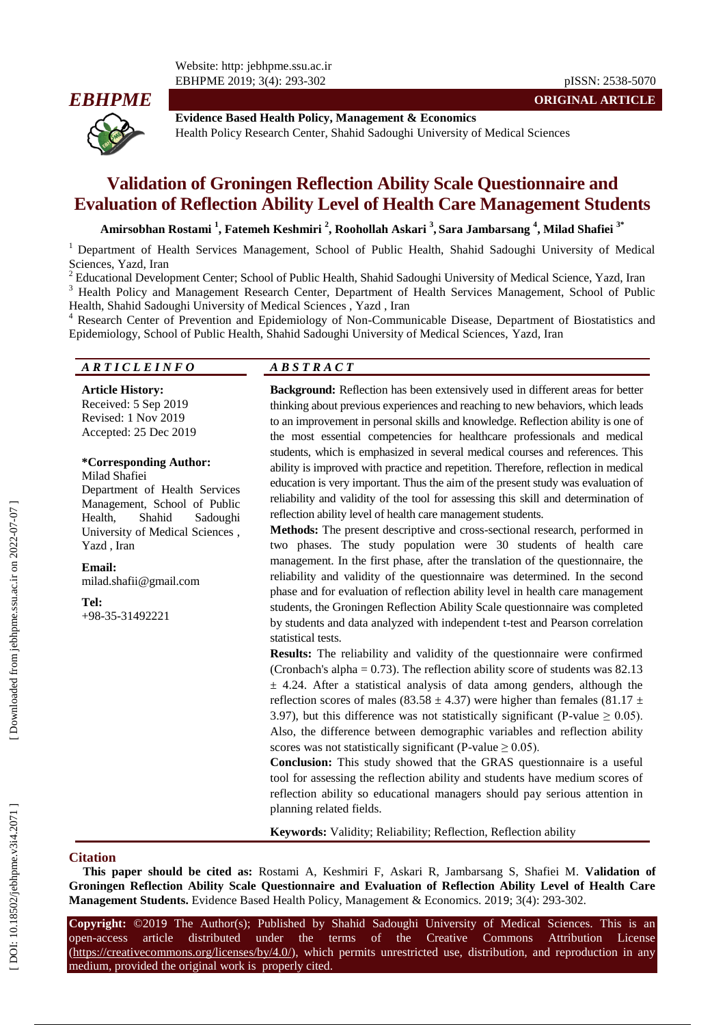

**Evidence Based Health Policy, Management & Economics** Health Policy Research Center, Shahid Sadoughi University of Medical Sciences

# **Validation of Groningen Reflection Ability Scale Questionnaire and Evaluation of Reflection Ability Level of Health Care Management Students**

**Amirsobhan Rostami 1 , Fatemeh Keshmiri 2 , Roohollah Askari 3 , Sara Jambarsang 4 , Milad Shafiei 3 \***

<sup>1</sup> Department of Health Services Management, School of Public Health, Shahid Sadoughi University of Medical

Sciences, Yazd, Iran<br><sup>2</sup> Educational Development Center; School of Public Health, Shahid Sadoughi University of Medical Science, Yazd, Iran<br><sup>3</sup> Health Policy and Management Research Center, Department of Health Services Ma

Health, Shahid Sadoughi University of Medical Sciences , Yazd , Iran<br><sup>4</sup> Research Center of Prevention and Epidemiology of Non-Communicable Disease, Department of Biostatistics and Epidemiology, School of Public Health, Shahid Sadoughi University of Medical Sciences, Yazd, Iran

#### *A R T I C L E I N F O A B S T R A C T*

**Article History:** Received: 5 Sep 201 9 Revised: 1 Nov 201 9 Accepted: 2 5 Dec 201 9

#### **\*Corresponding Author:**

Milad Shafiei Department of Health Services Management, School of Public Health, Shahid Sadoughi University of Medical Sciences , Yazd , Iran

**Email:** milad.shafii@gmail.com

**Tel:**

+98 -35 -31492221

Background: Reflection has been extensively used in different areas for better thinking about previous experiences and reaching to new behaviors, which lead s to an improvement in personal skills and knowledge. Reflection ability is one of the most essential competencies for healthcare professionals and medical students, which is emphasized in several medical courses and references. This ability is improved with practice and repetition. Therefore, reflection in medical education is very important. Thus the aim of the present study was evaluation of reliability and validity of the tool for assessing this skill and determination of reflection ability level of health care management students.

**Methods:** The present descriptive and cross -sectional research, performed in two phases. The study population were 30 students of health care management. In the first phase, after the translation of the questionnaire, the reliability and validity of the questionnaire was determined. In the second phase and for evaluation of reflection ability level in health care management students, the Groningen Reflection Ability Scale questionnaire was completed by students and data analyzed with independent t -test and Pearson correlation statistical tests.

**Results:** The reliability and validity of the questionnaire were confirmed (Cronbach's alpha =  $0.73$ ). The reflection ability score of students was 82.13  $\pm$  4.24. After a statistical analysis of data among genders, although the reflection scores of males (83.58  $\pm$  4.37) were higher than females (81.17  $\pm$ 3.97), but this difference was not statistically significant (P-value  $\geq 0.05$ ). Also, the difference between demographic variables and reflection ability scores was not statistically significant (P-value  $\geq 0.05$ ).

**Conclusion:** This study showed that the GRAS questionnaire is a useful tool for assessing the reflection ability and students have medium scores of reflection ability so educational managers should pay serious attention in planning related field s.

**Keywords:** Validity; Reliability; Reflection, Reflection ability

#### **Citation**

**This paper should be cited as:** Rostami A, Keshmiri F, Askari R, Jambarsang S, Shafiei M. **Validation of Groningen Reflection Ability Scale Questionnaire and Evaluation of Reflection Ability Level of Health Care**  Management Students. Evidence Based Health Policy, Management & Economics. 2019; 3(4): 293-302.

**Copyright:** ©201 9 The Author(s); Published by Shahid Sadoughi University of Medical Sciences. This is an open-access -access article distributed under the terms of the Creative Commons Attribution License (https://creativecommons.org/licenses/by/4.0/), which permits unrestricted use, distribution, and reproduction in any medium, provided the original work is properly cited.

**ORIGINAL ARTICLE**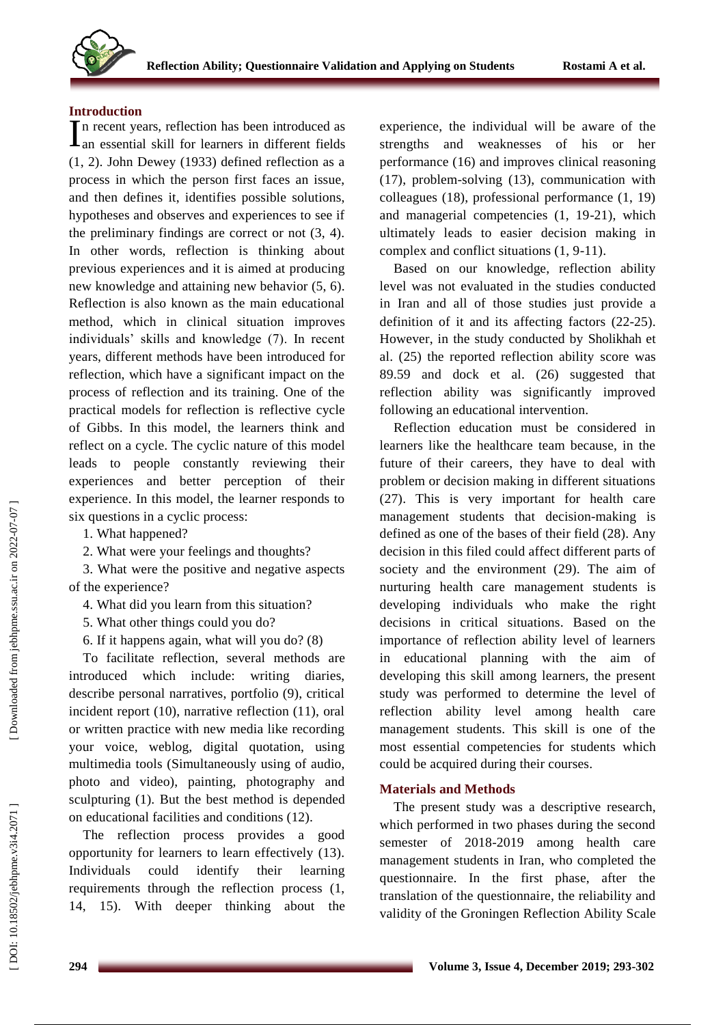

#### **Introduction**

n recent years, reflection has been introduced as In recent years, reflection has been introduced as<br>
In essential skill for learners in different fields (1, 2). John Dewey (1933) defined reflection as a process in which the person first faces an issue, and then defines it, identifies possible solutions, hypotheses and observes and experiences to see if the preliminary findings are correct or not (3, 4). In other words, reflection is thinking about previous experience s and it is aimed at producing new knowledge and attaining new behavior (5, 6). Reflection is also known as the main educational method, which in clinical situation improve s individuals' skills and knowledge (7). In recent years, different methods have been introduced for reflection, which have a significant impact on the process of reflection and its training. One of the practical models for reflection is reflective cycle of Gibb s. In this model, the learners think and reflect on a cycle. The cyclic nature of this model leads to people constantly reviewing their experiences and better perception of their experience. In this model, the learner responds to six questions in a cyclic process:

1. What happened?

2. What were your feelings and thoughts?

3. What were the positive and negative aspects of the experience?

- 4. What did you learn from this situation?
- 5. What other things could you do?
- 6. If it happen s again, what will you do? (8)

To facilitate reflection, several methods are introduced which include: writing diaries, describe personal narratives, portfolio (9), critical incident report (10), narrative reflection (11), oral or written practice with new media like recording your voice, weblog, digital quotation, using multimedia tools (Simultaneously using of audio, photo and video), painting, photography and sculpturing (1). But the best method is depended on educational facilities and conditions (12).

The reflection process provides a good opportunity for learners to learn effectively (13). Individuals could identify their learning requirements through the reflection process (1, 14, 15). With deeper thinking about the experience, the individual will be aware of the strengths and weaknesses of his or her performance (16) and improve s clinical reasoning (17), problem -solving (13), communication with colleagues (18), professional performance (1, 19) and managerial competencies (1, 19 -21), which ultimately leads to easier decision making in complex and conflict situations (1, 9 -11).

Based on our knowledge, reflection ability level was not evaluated in the studies conducted in Iran and all of those studies just provide a definition of it and its affecting factors (22 -25). However, in the study conducted by Sholikhah et al. (25) the reported reflection ability score was 89.59 and dock et al. (26) suggested that reflection ability was significantly improved following an educational intervention.

Reflection education must be considered in learners like the healthcare team because, in the future of their careers, they have to deal with problem or decision making in different situations (27). This is very important for health care management students that decision -making is defined as one of the bases of their field (28). Any decision in this filed could affect different parts of society and the environment (29). The aim of nurturing health care management students is developing individuals who make the right decisions in critical situations. Based on the importance of reflection ability level of learners in educational planning with the aim of developing this skill among learners, the present study was performed to determine the level of reflection ability level among health care management students. This skill is one of the most essential competencies for students which could be acquire d during their courses.

## **Materials and Methods**

The present study was a descriptive research, which performed in two phases during the second semester of 2018 -2019 among health care management students in Iran, who completed the questionnaire. In the first phase, after the translation of the questionnaire, the reliability and validity of the Groningen Reflection Ability Scale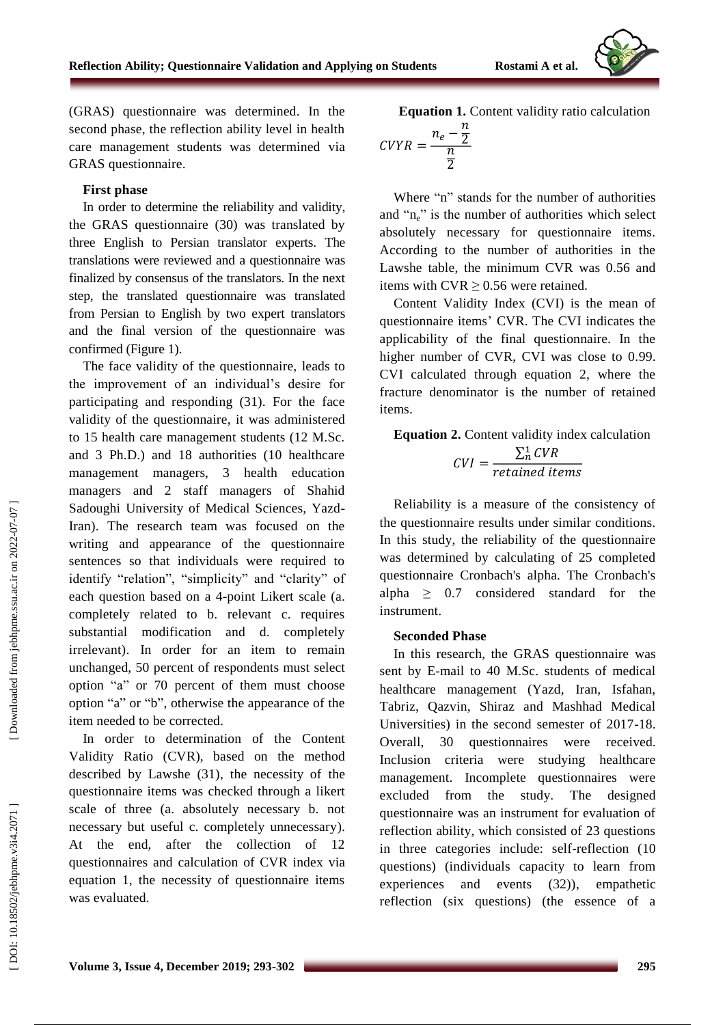(GRAS) questionnaire was determined. In the second phase, the reflection ability level in health care management students was determined via GRAS questionnaire.

#### **First phase**

In order to determine the reliability and validity , the GRAS questionnaire (30) was translated by three English to Persian translator experts. The translations were reviewed and a questionnaire was finalized by consensus of the translators. In the next step, the translated questionnaire was translated from Persian to English by two expert translator s and the final version of the questionnaire was confirmed (Figure 1).

The face validity of the questionnaire, leads to the improvement of an individual's desire for participating and responding (31). For the face validity of the questionnaire, it was administered to 15 health care management students (12 M.Sc. and 3 Ph.D.) and 18 authorities (10 healthcare management managers, 3 health education managers and 2 staff managers of Shahid Sadoughi University of Medical Sciences, Yazd - Iran). The research team was focused on the writing and appearance of the questionnaire sentences so that individuals were required to identify "relation", "simplicity" and "clarity" of each question based on a 4 -poin t Likert scale (a. completely related to b. relevant c. requires substantial modification and d. completely irrelevant). In order for an item to remain unchanged, 50 percent of respondents must select option "a" or 70 percent of them must choose option "a" or "b", otherwise the appearance of the item needed to be corrected.

In order to determination of the Content Validity Ratio (CVR), based on the method described by Lawshe (31), the necessity of the questionnaire items was checked through a likert scale of three (a. absolutely necessary b. not necessary but useful c. completely unnecessary ). At the end, after the collection of 12 questionnaires and calculation of CVR index via equation 1, the necessity of questionnaire items was evaluated.

**Equation 1.** Content validity ratio calculation  

$$
n_e - \frac{n}{2}
$$

$$
CVYR = \frac{c}{\frac{n}{2}}
$$

Where "n" stands for the number of authorities and "n<sub>e</sub>" is the number of authorities which select absolutely necessary for questionnaire items. According to the number of authorities in the Lawshe table, the minimum CVR was 0.56 and items with  $CVR \ge 0.56$  were retained.

Content Validity Index (CVI) is the mean of questionnaire items ' CVR. The CVI indicates the applicability of the final questionnaire. In the higher number of CVR, CVI was close to 0.99. CVI calculated through equation 2, where the fracture denominator is the number of retained items.

# **Equation 2.** Content validity index calculation

$$
CVI = \frac{\sum_{n}^{1} CVR}{retained items}
$$

Reliability is a measure of the consistency of the questionnaire results under similar conditions. In this study, the reliability of the questionnaire was determined by calculating of 25 completed questionnaire Cronbach's alpha. The Cronbach's alpha  $\geq$  0.7 considered standard for the instrument.

#### **Seconded Phase**

In this research, the GRAS questionnaire was sent by E -mail to 40 M.Sc. students of medical healthcare management (Yazd, Iran, Isfahan, Tabriz, Qazvin, Shiraz and Mashhad Medical Universities) in the second semester of 2017 -18. Overall, 30 questionnaires were received. Inclusion criteria were studying healthcare management. Incomplete questionnaires were excluded from the study. The designed questionnaire was an instrument for evaluation of reflection ability, which consisted of 23 questions in three categorie s include: self -reflection (10 questions ) (individuals capacity to learn from experiences and events (32)), empathetic reflection (six questions) (the essence of a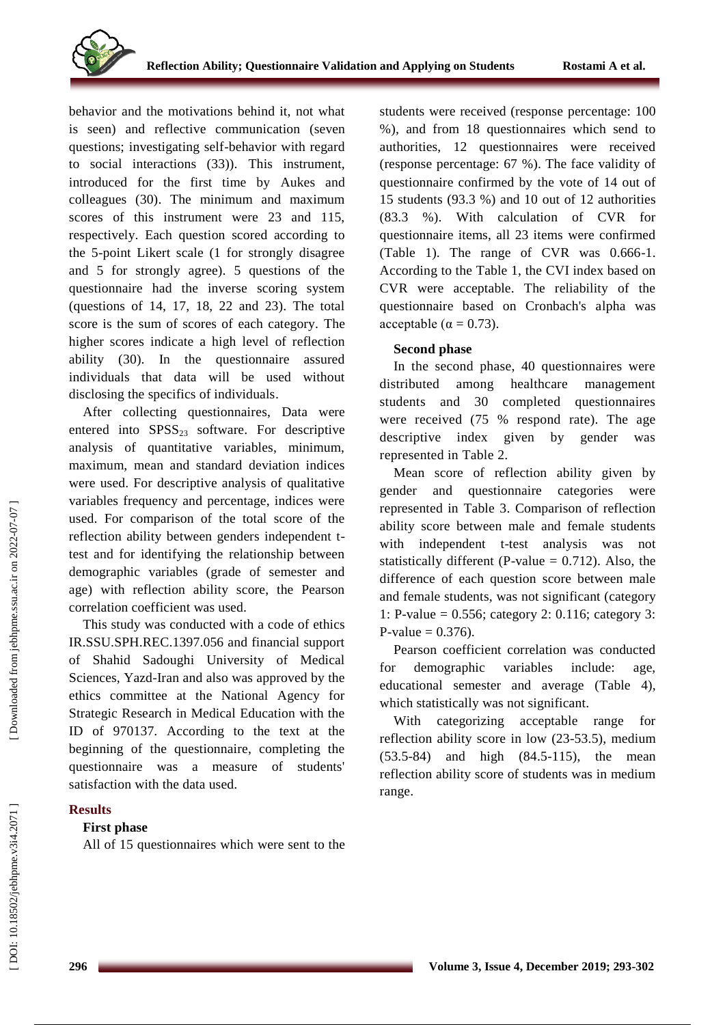behavior and the motivations behind it, not what is seen) and reflective communication (seven questions; investigating self -behavior with regard to social interactions (33)). This instrument, introduced for the first time by Aukes and colleague s (30). The minimum and maximum scores of this instrument were 23 and 115, respectively. Each question scored according to the 5 -point Likert scale (1 for strongly disagree and 5 for strongly agree). 5 questions of the questionnaire had the inverse scoring system (questions of 14, 17, 18, 22 and 23). The total score is the sum of scores of each category. The higher score s indicate a high level of reflection ability (30). In the questionnaire assured individuals that data will be used without disclosing the specifics of individuals .

After collecting questionnaires, Data were entered into  $SPSS<sub>23</sub>$  software. For descriptive analysis of quantitative variables, minimum, maximum, mean and standard deviation indices were used. For descriptive analysis of qualitative variables frequency and percentage, indices were used. For comparison of the total score of the reflection ability between genders independent t test and for identifying the relationship between demographic variables (grade of semester and age) with reflection ability score, the Pearson correlation coefficient was used.

This study was conducted with a code of ethics IR.SSU.SPH.REC.1397.056 and financial support of Shahid Sadoughi University of Medical Sciences, Yazd -Iran and also was approved by the ethics committee at the National Agency for Strategic Research in Medical Education with the ID of 970137. According to the text at the beginning of the questionnaire, completing the questionnaire was a measure of students' satisfaction with the data used.

## **Results**

## **First phase**

All of 15 questionnaires which were sent to the

students were received (response percentage: 100 %), and from 18 questionnaires which send to authorities, 12 questionnaires were received (response percentage: 67 %). The face validity of questionnaire confirmed by the vote of 14 out of 15 student s (93.3 %) and 10 out of 12 authorities (83.3 %). With calculation of CVR for questionnaire items, all 23 items were confirmed (Table 1). The range of CVR was 0.666-1. According to the Table 1, the CVI index based on CVR were acceptable. The reliability of the questionnaire based on Cronbach's alpha was acceptable ( $\alpha = 0.73$ ).

# **Second phase**

In the second phase, 40 questionnaires were distributed among healthcare management student s and 30 completed questionnaires were received (75 % respond rate). The age descriptive index given by gender was represented in Table 2.

Mean score of reflection ability given by gender and questionnaire categories were represented in Table 3. Comparison of reflection ability score between male and female students with independent t -test analysis was not statistically different (P-value  $= 0.712$ ). Also, the difference of each question score between male and female student s, was not significant (category 1: P -value = 0.556; category 2: 0.116; category 3: P-value =  $0.376$ ).

Pearson coefficient correlation was conducted for demographic variables include: age, educational semester and average (Table 4), which statistically was not significant.

With categorizing acceptable range for reflection ability score in low (23 -53.5), medium (53.5 -84) and high (84.5 -115), the mean reflection ability score of students was in medium range.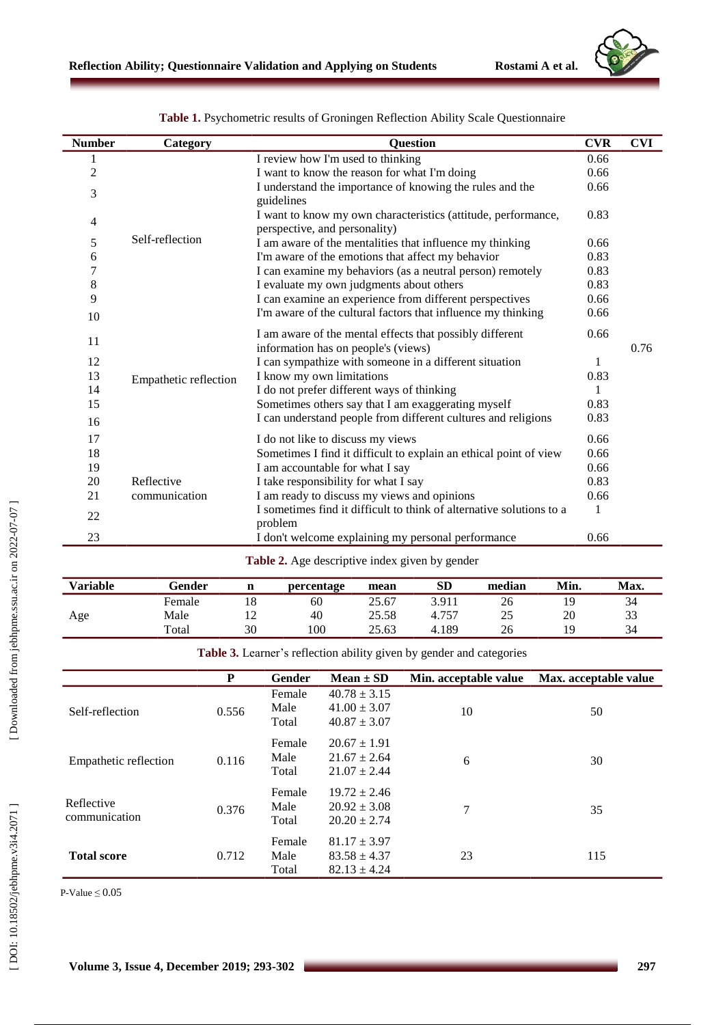

| <b>Number</b> | Category              | <b>Question</b>                                                                                 | <b>CVR</b> | <b>CVI</b> |
|---------------|-----------------------|-------------------------------------------------------------------------------------------------|------------|------------|
| 1             |                       | I review how I'm used to thinking                                                               | 0.66       |            |
| 2             |                       | I want to know the reason for what I'm doing                                                    | 0.66       |            |
| 3             |                       | I understand the importance of knowing the rules and the<br>guidelines                          | 0.66       |            |
| 4             |                       | I want to know my own characteristics (attitude, performance,<br>perspective, and personality)  | 0.83       |            |
| 5             | Self-reflection       | I am aware of the mentalities that influence my thinking                                        | 0.66       |            |
| 6             |                       | I'm aware of the emotions that affect my behavior                                               | 0.83       |            |
| 7             |                       | I can examine my behaviors (as a neutral person) remotely                                       | 0.83       |            |
| 8             |                       | I evaluate my own judgments about others                                                        | 0.83       |            |
| 9             |                       | I can examine an experience from different perspectives                                         | 0.66       |            |
| 10            |                       | I'm aware of the cultural factors that influence my thinking                                    | 0.66       |            |
| 11            |                       | I am aware of the mental effects that possibly different<br>information has on people's (views) | 0.66       | 0.76       |
| 12            |                       | I can sympathize with someone in a different situation                                          | 1          |            |
| 13            | Empathetic reflection | I know my own limitations                                                                       | 0.83       |            |
| 14            |                       | I do not prefer different ways of thinking                                                      | 1          |            |
| 15            |                       | Sometimes others say that I am exaggerating myself                                              | 0.83       |            |
| 16            |                       | I can understand people from different cultures and religions                                   | 0.83       |            |
| 17            |                       | I do not like to discuss my views                                                               | 0.66       |            |
| 18            |                       | Sometimes I find it difficult to explain an ethical point of view                               | 0.66       |            |
| 19            |                       | I am accountable for what I say                                                                 | 0.66       |            |
| 20            | Reflective            | I take responsibility for what I say                                                            | 0.83       |            |
| 21            | communication         | I am ready to discuss my views and opinions                                                     | 0.66       |            |
| 22            |                       | I sometimes find it difficult to think of alternative solutions to a<br>problem                 | 1          |            |
| 23            |                       | I don't welcome explaining my personal performance                                              | 0.66       |            |

Table 1. Psychometric results of Groningen Reflection Ability Scale Questionnaire

**Table 2.** Age descriptive index given by gender

| <b>Variable</b> | Gender | n  | percentage | mean  | SD    | median | Min. | Max. |
|-----------------|--------|----|------------|-------|-------|--------|------|------|
|                 | Female | 18 | 60         | 25.67 | 3.911 | 26     |      | 34   |
| Age             | Male   | ∸  | 40         | 25.58 | 4.757 | 25     | 20   | 33   |
|                 | Total  | 30 | 100        | 25.63 | 4.189 | 26     | 10   | 34   |

**Table 3.** Learner's reflection ability given by gender and categories

|                             | P     | Gender                  | $Mean \pm SD$                                            | Min. acceptable value | Max. acceptable value |
|-----------------------------|-------|-------------------------|----------------------------------------------------------|-----------------------|-----------------------|
| Self-reflection             | 0.556 | Female<br>Male<br>Total | $40.78 \pm 3.15$<br>$41.00 \pm 3.07$<br>$40.87 \pm 3.07$ | 10                    | 50                    |
| Empathetic reflection       | 0.116 | Female<br>Male<br>Total | $20.67 \pm 1.91$<br>$21.67 \pm 2.64$<br>$21.07 \pm 2.44$ | 6                     | 30                    |
| Reflective<br>communication | 0.376 | Female<br>Male<br>Total | $19.72 \pm 2.46$<br>$20.92 \pm 3.08$<br>$20.20 \pm 2.74$ | 7                     | 35                    |
| <b>Total score</b>          | 0.712 | Female<br>Male<br>Total | $81.17 \pm 3.97$<br>$83.58 \pm 4.37$<br>$82.13 \pm 4.24$ | 23                    | 115                   |

 $P-Value \leq 0.05$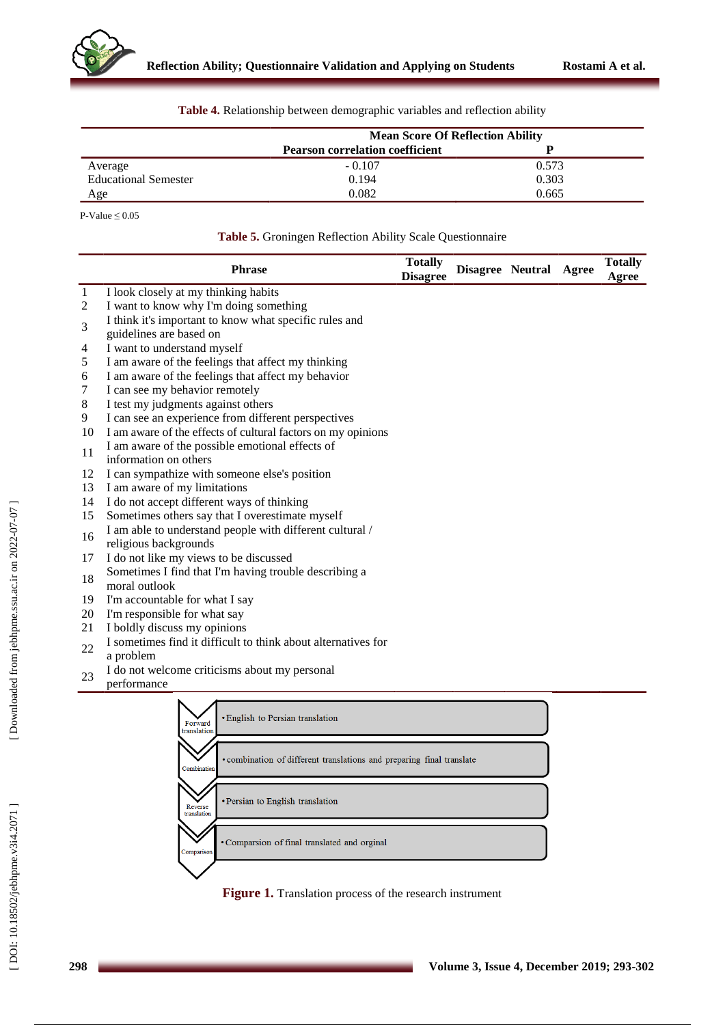

|                             | <b>Mean Score Of Reflection Ability</b> |       |  |  |
|-----------------------------|-----------------------------------------|-------|--|--|
|                             | <b>Pearson correlation coefficient</b>  |       |  |  |
| Average                     | $-0.107$                                | 0.573 |  |  |
| <b>Educational Semester</b> | 0.194                                   | 0.303 |  |  |
| Age                         | 0.082                                   | 0.665 |  |  |

**Table 4.** Relationship between demographic variables and reflection ability

 $P-Value \leq 0.05$ 

| Table 5. Groningen Reflection Ability Scale Questionnaire |  |  |
|-----------------------------------------------------------|--|--|
|                                                           |  |  |

|    | <b>Phrase</b>                                                                        | <b>Totally</b><br><b>Disagree</b> |  | Disagree Neutral Agree |  | <b>Totally</b><br>Agree |
|----|--------------------------------------------------------------------------------------|-----------------------------------|--|------------------------|--|-------------------------|
| 1  | I look closely at my thinking habits                                                 |                                   |  |                        |  |                         |
| 2  | I want to know why I'm doing something                                               |                                   |  |                        |  |                         |
| 3  | I think it's important to know what specific rules and                               |                                   |  |                        |  |                         |
|    | guidelines are based on                                                              |                                   |  |                        |  |                         |
| 4  | I want to understand myself                                                          |                                   |  |                        |  |                         |
| 5  | I am aware of the feelings that affect my thinking                                   |                                   |  |                        |  |                         |
| 6  | I am aware of the feelings that affect my behavior                                   |                                   |  |                        |  |                         |
| 7  | I can see my behavior remotely                                                       |                                   |  |                        |  |                         |
| 8  | I test my judgments against others                                                   |                                   |  |                        |  |                         |
| 9  | I can see an experience from different perspectives                                  |                                   |  |                        |  |                         |
| 10 | I am aware of the effects of cultural factors on my opinions                         |                                   |  |                        |  |                         |
| 11 | I am aware of the possible emotional effects of                                      |                                   |  |                        |  |                         |
|    | information on others                                                                |                                   |  |                        |  |                         |
| 12 | I can sympathize with someone else's position                                        |                                   |  |                        |  |                         |
| 13 | I am aware of my limitations                                                         |                                   |  |                        |  |                         |
| 14 | I do not accept different ways of thinking                                           |                                   |  |                        |  |                         |
| 15 | Sometimes others say that I overestimate myself                                      |                                   |  |                        |  |                         |
| 16 | I am able to understand people with different cultural /                             |                                   |  |                        |  |                         |
|    | religious backgrounds                                                                |                                   |  |                        |  |                         |
| 17 | I do not like my views to be discussed                                               |                                   |  |                        |  |                         |
| 18 | Sometimes I find that I'm having trouble describing a                                |                                   |  |                        |  |                         |
|    | moral outlook                                                                        |                                   |  |                        |  |                         |
| 19 | I'm accountable for what I say                                                       |                                   |  |                        |  |                         |
| 20 | I'm responsible for what say                                                         |                                   |  |                        |  |                         |
| 21 | I boldly discuss my opinions                                                         |                                   |  |                        |  |                         |
| 22 | I sometimes find it difficult to think about alternatives for                        |                                   |  |                        |  |                         |
|    | a problem                                                                            |                                   |  |                        |  |                         |
| 23 | I do not welcome criticisms about my personal                                        |                                   |  |                        |  |                         |
|    | performance                                                                          |                                   |  |                        |  |                         |
|    | · English to Persian translation<br>Forward<br>translation                           |                                   |  |                        |  |                         |
|    | · combination of different translations and preparing final translate<br>Combination |                                   |  |                        |  |                         |
|    | • Persian to English translation                                                     |                                   |  |                        |  |                         |

· Comparsion of final translated and orginal

Reverse<br>translatio

**Comparis** 

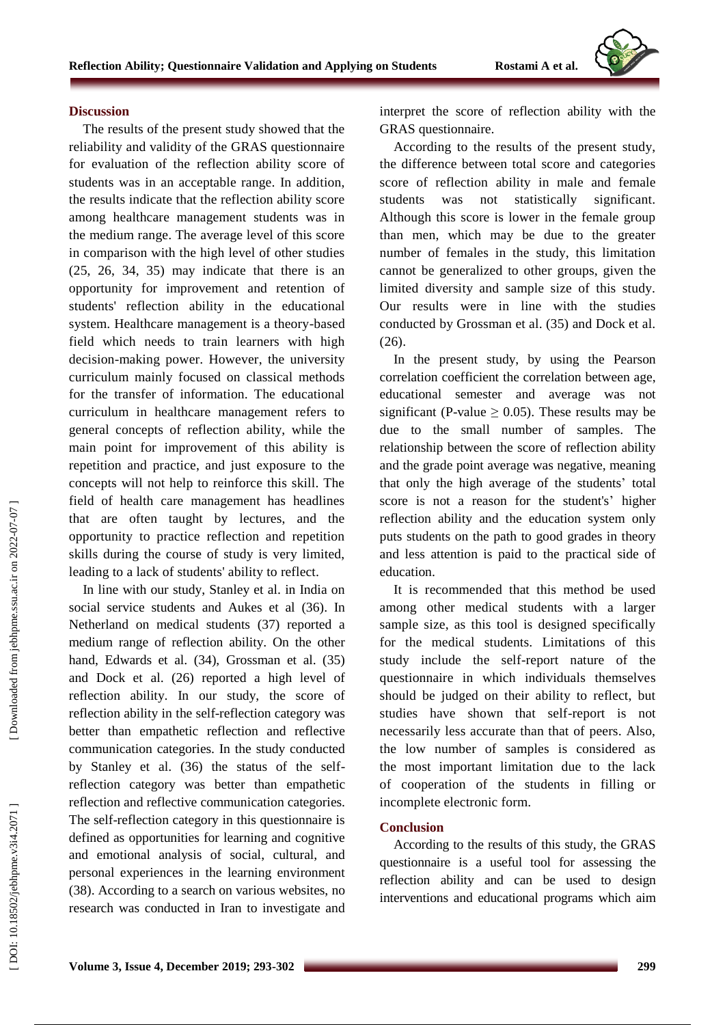

#### **Discussion**

The results of the present study showed that the reliability and validity of the GRAS questionnaire for evaluation of the reflection ability score of students was in an acceptable range. In addition, the results indicate that the reflection ability score among healthcare management students was in the medium range. The average level of this score in comparison with the high level of other studies (25, 26, 34, 35) may indicate that there is an opportunity for improvement and retention of students' reflection ability in the educational system. Healthcare management is a theory -based field which needs to train learners with high decision -making power. However, the university curriculum mainly focused on classical methods for the transfer of information. The educational curriculum in healthcare management refers to general concepts of reflection ability, while the main point for improvement of this ability is repetition and practice, and just exposure to the concepts will not help to reinforce this skill. The field of health care management has headlines that are often taught by lectures, and the opportunity to practice reflection and repetition skills during the course of study is very limited, leading to a lack of students' ability to reflect.

In line with our study, Stanley et al. in India on social service students and Aukes et al (36). In Netherland on medical students (37) reported a medium range of reflection ability. On the other hand, Edwards et al. (34), Grossman et al. (35) and Dock et al. (26) reported a high level of reflection ability. In our study, the score of reflection ability in the self-reflection category was better than empathetic reflection and reflective communication categories. In the study conducted by Stanley et al. (36) the status of the self reflection category was better than empathetic reflection and reflective communication categories. The self-reflection category in this questionnaire is defined as opportunities for learning and cognitive and emotional analysis of social, cultural, and personal experiences in the learning environment (38). According to a search on various websites, no research was conducted in Iran to investigate and

interpret the score of reflection ability with the GRAS questionnaire.

According to the results of the present study, the difference between total score and categories score of reflection ability in male and female students was not statistically significant. Although this score is lower in the female group than men, which may be due to the greater number of females in the study, this limitation cannot be generalized to other groups, given the limited diversity and sample size of this study. Our results were in line with the studies conducted by Grossman et al. (35) and Dock et al. (26).

In the present study, by using the Pearson correlation coefficient the correlation between age, educational semester and average was not significant (P-value  $\geq$  0.05). These results may be due to the small number of samples. The relationship between the score of reflection ability and the grade point average was negative, meaning that only the high average of the students ' total score is not a reason for the student's ' higher reflection ability and the education system only puts students on the path to good grades in theory and less attention is paid to the practical side of education.

It is recommended that this method be used among other medical students with a larger sample size, as this tool is designed specifically for the medical students. Limitations of this study include the self -report nature of the questionnaire in which individuals themselves should be judged on their ability to reflect, but studies have shown that self -report is not necessarily less accurate than that of peers. Also, the low number of samples is considered as the most important limitation due to the lack of cooperation of the students in filling or incomplete electronic form.

## **Conclusion**

According to the results of this study, the GRAS questionnaire is a useful tool for assessing the reflection ability and can be used to design interventions and educational programs which aim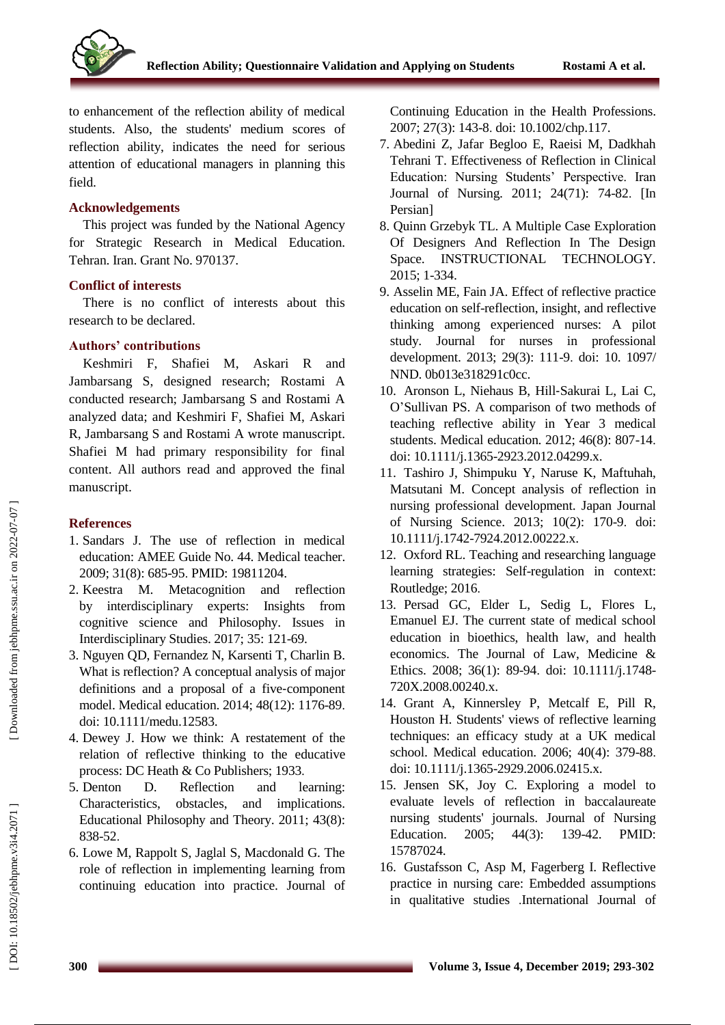to enhancement of the reflection ability of medical students. Also, the students' medium scores of reflection ability, indicates the need for serious attention of educational managers in planning this field.

#### **Acknowledgements**

This project was funded by the National Agency for Strategic Research in Medical Education. Tehran. Iran. Grant No. 970137 .

## **Conflict of interests**

There is no conflict of interests about this research to be declared.

#### **Authors' contribution s**

Keshmiri F, Shafiei M , Askari R and Jambarsang S, designed research; Rostami A conducted research; Jambarsang S and Rostami A analyzed data ; and Keshmiri F, Shafiei M , Askari R, Jambarsang S and Rostami A wrote manuscript. Shafiei M had primary responsibility for final content. All authors read and approved the final manuscript.

## **References**

- 1. Sandars J. The use of reflection in medical education: AMEE Guide No. 44. Medical teacher. 2009; 31(8): 685 -95 . PMID: 19811204 .
- 2 . Keestra M. Metacognition and reflection by interdisciplinary experts: Insights from cognitive science and Philosophy. Issues in Interdisciplinary Studies. 2017; 35: 121 -69.
- 3 . Nguyen QD, Fernandez N, Karsenti T, Charlin B. What is reflection? A conceptual analysis of major definitions and a proposal of a five ‐component model. Medical education. 2014; 48(12): 1176 -89 . doi: 10.1111/medu.12583.
- 4 . Dewey J. How we think: A restatement of the relation of reflective thinking to the educative process: DC Heath & Co Publishers; 1933.
- 5 Denton D. Reflection and learning: Characteristics, obstacles, and implications. Educational Philosophy and Theory. 2011; 43(8): 838 -52 .
- 6 . Lowe M, Rappolt S, Jaglal S, Macdonald G. The role of reflection i n implementing learning from continuing education into practice. Journal of

Continuing Education in the Health Professions. 2007; 27(3): 143-8. doi: 10.1002/chp.117.

- 7 . Abedini Z, Jafar Begloo E, Raeisi M, Dadkhah Tehrani T. Effectiveness of Reflection in Clinical Education: Nursing Students' Perspective. Iran Journal of Nursing. 2011; 24(71): 74 -82 . [In Persian]
- 8 . Quinn Grzebyk TL. A Multiple Case Exploration Of Designers And Reflection In The Design Space. INSTRUCTIONAL TECHNOLOGY. 2015; 1 -334.
- 9 . Asselin ME, Fain JA. Effect of reflective practice education on self-reflection, insight, and reflective thinking among experienced nurses: A pilot study. Journal for nurses in professional development. 2013; 29(3): 111-9. doi: 10. 1097/ NND. 0b013e318291c0cc.
- 10 . Aronson L, Niehaus B, Hill ‐Sakurai L, Lai C, O 'Sullivan PS. A comparison of two methods of teaching reflective ability in Year 3 medical students. Medical education. 2012; 46(8): 807 -14 . doi: 10.1111/j.1365 -2923.2012.04299.x.
- 11 . Tashiro J, Shimpuku Y, Naruse K, Maftuhah, Matsutani M. Concept analysis of reflection in nursing professional development. Japan Journal of Nursing Science. 2013; 10(2): 170 - 9 . doi: 10.1111/j.1742 -7924.2012.00222.x.
- 12 . Oxford RL. Teaching and researching language learning strategies: Self-regulation in context: Routledge; 2016 .
- 13 . Persad GC, Elder L, Sedig L, Flores L, Emanuel EJ. The current state of medical school education in bioethics, health law, and health economics. The Journal of Law, Medicine & Ethics. 2008; 36(1): 89-94. doi: 10.1111/j.1748-720X.2008.00240.x .
- 14 . Grant A, Kinnersley P, Metcalf E, Pill R, Houston H. Students' views of reflective learning techniques: an efficacy study at a UK medical school. Medical education. 2006; 40(4): 379 -88 . doi: 10.1111/j.1365 -2929.2006.02415.x .
- 15 . Jensen SK, Joy C. Exploring a model to evaluate levels of reflection in baccalaureate nursing students' journals. Journal of Nursing Education. 2005; 44(3): 139-42. PMID: 15787024 .
- 16 . Gustafsson C, Asp M, Fagerberg I. Reflective practice in nursing care: Embedded assumptions in qualitative studies .International Journal of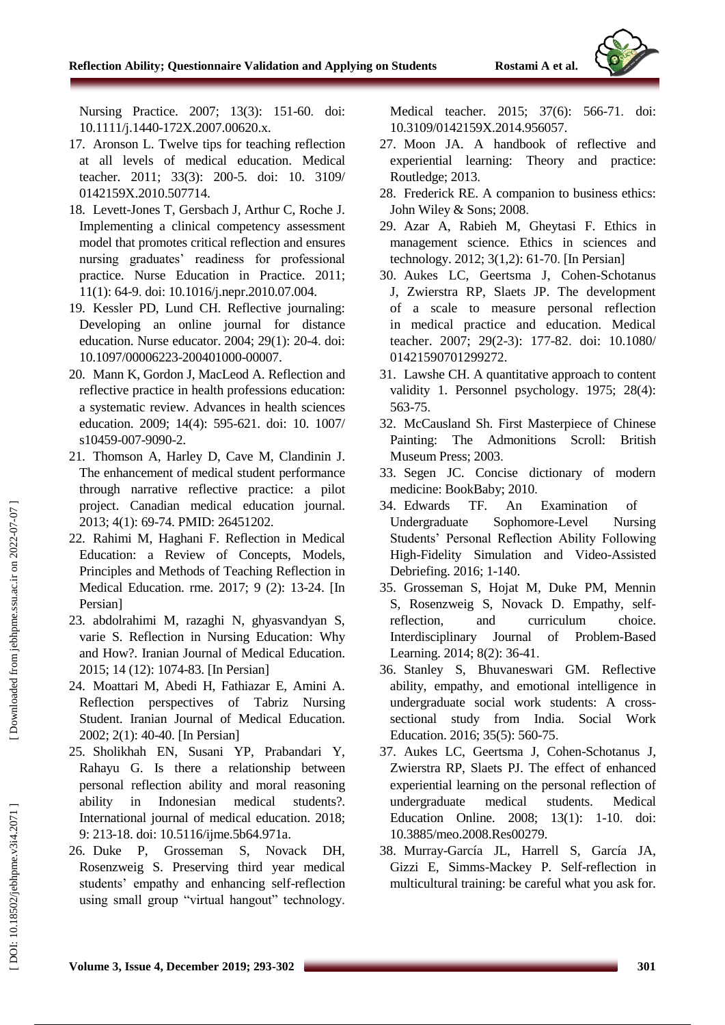Nursing Practice. 2007; 13(3): 151 -60 . doi: 10.1111/j.1440 -172X.2007.00620.x .

- 17 . Aronson L. Twelve tips for teaching reflection at all levels of medical education. Medical teacher. 2011; 33(3): 200 -5. doi: 10. 3109/ 0142159X.2010.507714 .
- 18 . Levett -Jones T, Gersbach J, Arthur C, Roche J. Implementing a clinical competency assessment model that promotes critical reflection and ensures nursing graduates' readiness for professional practice. Nurse Education in Practice. 2011; 11(1): 64 - 9 . doi: 10.1016/j.nepr.2010.07.004.
- 19 . Kessler PD, Lund CH. Reflective journaling: Developing an online journal for distance education. Nurse educator. 2004; 29(1): 20-4. doi: 10.1097/00006223 -200401000 -00007 .
- 20 . Mann K, Gordon J, MacLeod A. Reflection and reflective practice in health professions education: a systematic review. Advances in health sciences education. 2009; 14(4): 595 -621. doi: 10. 1007/ s10459-007-9090-2.
- 21 . Thomson A, Harley D, Cave M, Clandinin J. The enhancement of medical student performance through narrative reflective practice: a pilot project. Canadian medical education journal. 2013; 4(1): 69 -74. PMID: 26451202.
- 22 . Rahimi M, Haghani F. Reflection in Medical Education: a Review of Concepts, Models, Principles and Methods of Teaching Reflection in Medical Education. rme. 2017; 9 (2): 13 -24. [In Persian]
- 23 . abdolrahimi M, razaghi N, ghyasvandyan S, varie S. Reflection in Nursing Education: Why and How?. Iranian Journal of Medical Education. 2015; 14 (12): 1074 -83. [In Persian]
- 24 . Moattari M, Abedi H, Fathiazar E, Amini A. Reflection perspectives of Tabriz Nursing Student. Iranian Journal of Medical Education. 2002; 2(1): 40 -40. [In Persian]
- 25 . Sholikhah EN, Susani YP, Prabandari Y, Rahayu G. Is there a relationship between personal reflection ability and moral reasoning ability in Indonesian medical students?. International journal of medical education. 2018; 9: 213 -18. doi: 10.5116/ijme.5b64.971a .
- 26. Duke P, Grosseman S, Novack DH, Rosenzweig S. Preserving third year medical students' empathy and enhancing self-reflection using small group "virtual hangout" technology.

Medical teacher. 2015; 37(6): 566 -71 . doi: 10.3109/0142159X.2014.956057 .

- 27 . Moon JA. A handbook of reflective and experiential learning: Theory and practice: Routledge; 2013 .
- 28 . Frederick RE. A companion to business ethics: John Wiley & Sons; 2008.
- 29 . Azar A, Rabieh M, Gheytasi F. Ethics in management science. Ethics in sciences and technology. 2012; 3(1,2): 61 -70 . [In Persian]
- 30 . Aukes LC, Geertsma J, Cohen -Schotanus J, Zwierstra RP, Slaets JP. The development of a scale to measure personal reflection in medical practice and education. Medical teacher. 2007; 29(2-3): 177-82. doi: 10.1080/ 01421590701299272 .
- 31 . Lawshe CH. A quantitative approach to content validity 1. Personnel psychology. 1975; 28(4): 563 -75 .
- 32 . McCausland Sh. First Masterpiece of Chinese Painting: The Admonitions Scroll: British Museum Press; 2003 .
- 33 . Segen JC. Concise dictionary of modern medicine: BookBaby; 2010 .
- 34. Edwards TF. An Examination of Undergraduate Sophomore-Level Nursing Students' Personal Reflection Ability Following High -Fidelity Simulation and Video -Assisted Debriefing. 2016; 1 -140.
- 35 . Grosseman S, Hojat M, Duke PM, Mennin S, Rosenzweig S, Novack D. Empathy, sel freflection, and curriculum choice. Interdisciplinary Journal of Problem-Based Learning. 2014; 8(2): 36-41.
- 36 . Stanley S, Bhuvaneswari GM. Reflective ability, empathy, and emotional intelligence in undergraduate social work students: A cross sectional study from India. Social Work Education. 2016; 35(5): 560 -75 .
- 37 . Aukes LC, Geertsma J, Cohen -Schotanus J, Zwierstra RP, Slaets PJ. The effect of enhanced experiential learning on the personal reflection of undergraduate medical students. Medical Education Online. 2008; 13(1): 1 -10 . doi: 10.3885/meo.2008.Res00279.
- 38 . Murray -García JL, Harrell S, García JA, Gizzi E, Simms -Mackey P. Self-reflection in multicultural training: be careful what you ask for.